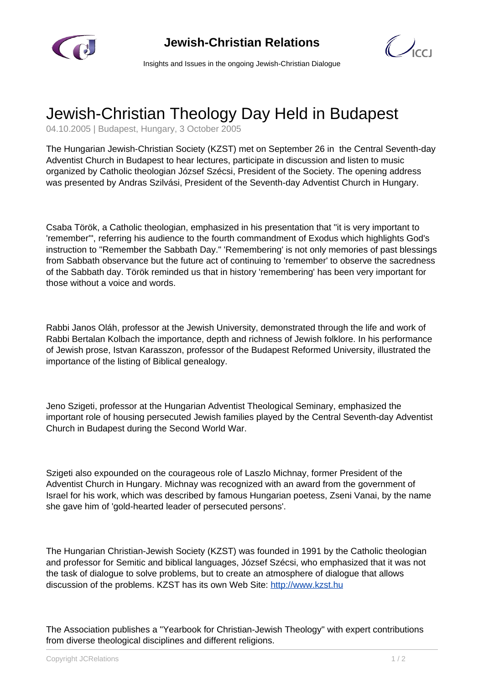

 $\bigcirc$ 

Insights and Issues in the ongoing Jewish-Christian Dialogue

## Jewish-Christian Theology Day Held in Budapest

04.10.2005 | Budapest, Hungary, 3 October 2005

The Hungarian Jewish-Christian Society (KZST) met on September 26 in the Central Seventh-day Adventist Church in Budapest to hear lectures, participate in discussion and listen to music organized by Catholic theologian József Szécsi, President of the Society. The opening address was presented by Andras Szilvási, President of the Seventh-day Adventist Church in Hungary.

Csaba Török, a Catholic theologian, emphasized in his presentation that "it is very important to 'remember'", referring his audience to the fourth commandment of Exodus which highlights God's instruction to "Remember the Sabbath Day." 'Remembering' is not only memories of past blessings from Sabbath observance but the future act of continuing to 'remember' to observe the sacredness of the Sabbath day. Török reminded us that in history 'remembering' has been very important for those without a voice and words.

Rabbi Janos Oláh, professor at the Jewish University, demonstrated through the life and work of Rabbi Bertalan Kolbach the importance, depth and richness of Jewish folklore. In his performance of Jewish prose, Istvan Karasszon, professor of the Budapest Reformed University, illustrated the importance of the listing of Biblical genealogy.

Jeno Szigeti, professor at the Hungarian Adventist Theological Seminary, emphasized the important role of housing persecuted Jewish families played by the Central Seventh-day Adventist Church in Budapest during the Second World War.

Szigeti also expounded on the courageous role of Laszlo Michnay, former President of the Adventist Church in Hungary. Michnay was recognized with an award from the government of Israel for his work, which was described by famous Hungarian poetess, Zseni Vanai, by the name she gave him of 'gold-hearted leader of persecuted persons'.

The Hungarian Christian-Jewish Society (KZST) was founded in 1991 by the Catholic theologian and professor for Semitic and biblical languages, József Szécsi, who emphasized that it was not the task of dialogue to solve problems, but to create an atmosphere of dialogue that allows discussion of the problems. KZST has its own Web Site: [http://www.kzst.hu](http://www.kzst.hu/)

The Association publishes a "Yearbook for Christian-Jewish Theology" with expert contributions from diverse theological disciplines and different religions.